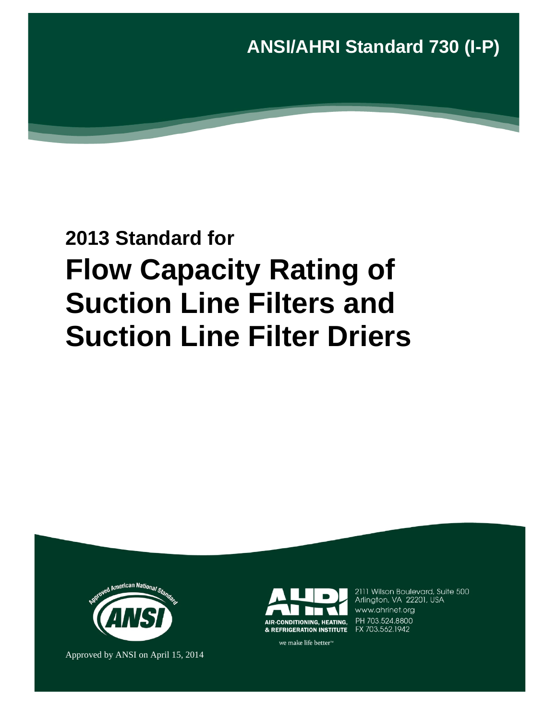**ANSI/AHRI Standard 730 (I-P)**

# **2013 Standard for Flow Capacity Rating of Suction Line Filters and Suction Line Filter Driers**



Approved by ANSI on April 15, 2014



2111 Wilson Boulevard, Suite 500<br>Arlington, VA 22201, USA www.ahrinet.org PH 703.524.8800

we make life better<sup>™</sup>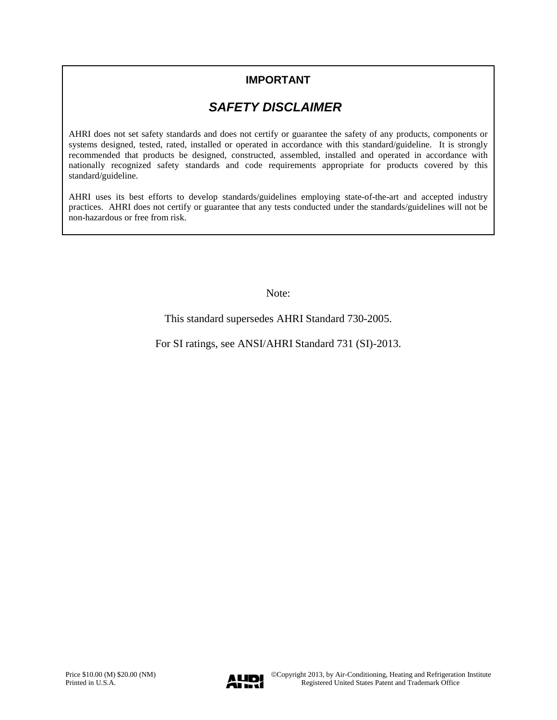## **IMPORTANT**

# *SAFETY DISCLAIMER*

AHRI does not set safety standards and does not certify or guarantee the safety of any products, components or systems designed, tested, rated, installed or operated in accordance with this standard/guideline. It is strongly recommended that products be designed, constructed, assembled, installed and operated in accordance with nationally recognized safety standards and code requirements appropriate for products covered by this standard/guideline.

AHRI uses its best efforts to develop standards/guidelines employing state-of-the-art and accepted industry practices. AHRI does not certify or guarantee that any tests conducted under the standards/guidelines will not be non-hazardous or free from risk.

Note:

This standard supersedes AHRI Standard 730-2005.

For SI ratings, see ANSI/AHRI Standard 731 (SI)-2013.

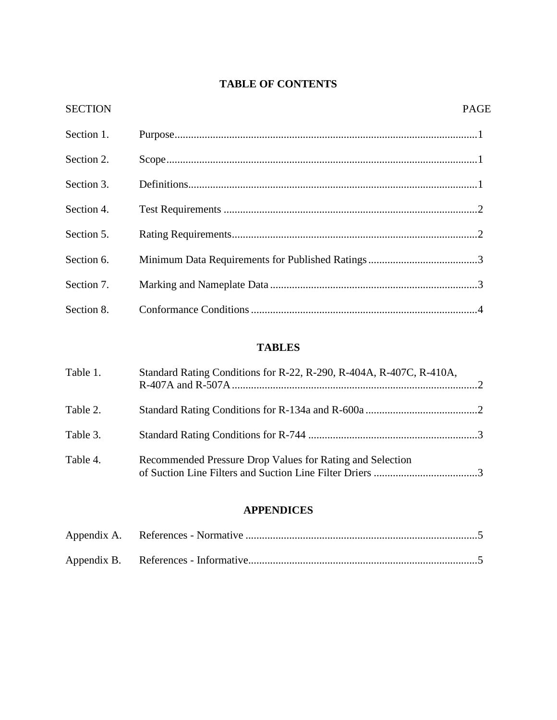## **TABLE OF CONTENTS**

| <b>SECTION</b> | <b>PAGE</b> |
|----------------|-------------|
| Section 1.     |             |
| Section 2.     |             |
| Section 3.     |             |
| Section 4.     |             |
| Section 5.     |             |
| Section 6.     |             |
| Section 7.     |             |
| Section 8.     |             |

## **TABLES**

| Table 1. | Standard Rating Conditions for R-22, R-290, R-404A, R-407C, R-410A, |  |
|----------|---------------------------------------------------------------------|--|
| Table 2. |                                                                     |  |
| Table 3. |                                                                     |  |
| Table 4. | Recommended Pressure Drop Values for Rating and Selection           |  |

### **APPENDICES**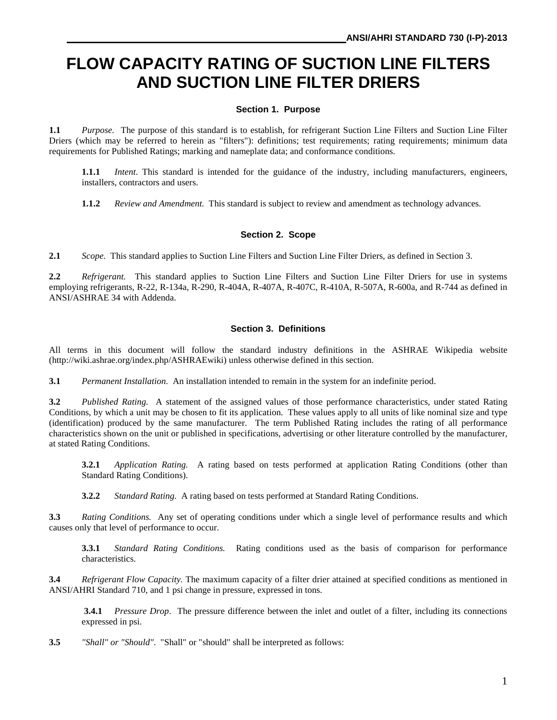# **FLOW CAPACITY RATING OF SUCTION LINE FILTERS AND SUCTION LINE FILTER DRIERS**

#### **Section 1. Purpose**

**1.1** *Purpose.* The purpose of this standard is to establish, for refrigerant Suction Line Filters and Suction Line Filter Driers (which may be referred to herein as "filters"): definitions; test requirements; rating requirements; minimum data requirements for Published Ratings; marking and nameplate data; and conformance conditions.

**1.1.1** *Intent*. This standard is intended for the guidance of the industry, including manufacturers, engineers, installers, contractors and users.

**1.1.2** *Review and Amendment.* This standard is subject to review and amendment as technology advances.

#### **Section 2. Scope**

**2.1** *Scope.* This standard applies to Suction Line Filters and Suction Line Filter Driers, as defined in Section 3.

2.2 *Refrigerant.* This standard applies to Suction Line Filters and Suction Line Filter Driers for use in systems employing refrigerants, R-22, R-134a, R-290, R-404A, R-407A, R-407C, R-410A, R-507A, R-600a, and R-744 as defined in ANSI/ASHRAE 34 with Addenda.

#### **Section 3. Definitions**

All terms in this document will follow the standard industry definitions in the ASHRAE Wikipedia website (http://wiki.ashrae.org/index.php/ASHRAEwiki) unless otherwise defined in this section.

**3.1** *Permanent Installation.* An installation intended to remain in the system for an indefinite period.

**3.2** *Published Rating.* A statement of the assigned values of those performance characteristics, under stated Rating Conditions, by which a unit may be chosen to fit its application. These values apply to all units of like nominal size and type (identification) produced by the same manufacturer. The term Published Rating includes the rating of all performance characteristics shown on the unit or published in specifications, advertising or other literature controlled by the manufacturer, at stated Rating Conditions.

**3.2.1** *Application Rating.* A rating based on tests performed at application Rating Conditions (other than Standard Rating Conditions).

**3.2.2** *Standard Rating.* A rating based on tests performed at Standard Rating Conditions.

**3.3** *Rating Conditions.* Any set of operating conditions under which a single level of performance results and which causes only that level of performance to occur.

**3.3.1** *Standard Rating Conditions.* Rating conditions used as the basis of comparison for performance characteristics.

**3.4** *Refrigerant Flow Capacity.* The maximum capacity of a filter drier attained at specified conditions as mentioned in ANSI/AHRI Standard 710, and 1 psi change in pressure, expressed in tons.

**3.4.1** *Pressure Drop*. The pressure difference between the inlet and outlet of a filter, including its connections expressed in psi.

**3.5** *"Shall" or "Should"*."Shall" or "should" shall be interpreted as follows: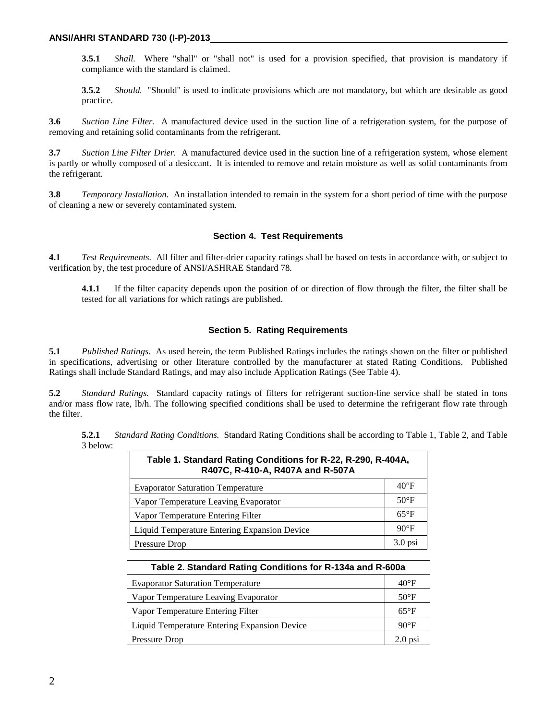**3.5.1** *Shall.* Where "shall" or "shall not" is used for a provision specified, that provision is mandatory if compliance with the standard is claimed.

**3.5.2** *Should.* "Should" is used to indicate provisions which are not mandatory, but which are desirable as good practice.

**3.6** *Suction Line Filter.* A manufactured device used in the suction line of a refrigeration system, for the purpose of removing and retaining solid contaminants from the refrigerant.

**3.7** *Suction Line Filter Drier.* A manufactured device used in the suction line of a refrigeration system, whose element is partly or wholly composed of a desiccant. It is intended to remove and retain moisture as well as solid contaminants from the refrigerant.

**3.8** *Temporary Installation.* An installation intended to remain in the system for a short period of time with the purpose of cleaning a new or severely contaminated system.

#### **Section 4. Test Requirements**

**4.1** *Test Requirements.* All filter and filter-drier capacity ratings shall be based on tests in accordance with, or subject to verification by, the test procedure of ANSI/ASHRAE Standard 78*.*

**4.1.1** If the filter capacity depends upon the position of or direction of flow through the filter, the filter shall be tested for all variations for which ratings are published.

#### **Section 5. Rating Requirements**

**5.1** *Published Ratings.* As used herein, the term Published Ratings includes the ratings shown on the filter or published in specifications, advertising or other literature controlled by the manufacturer at stated Rating Conditions. Published Ratings shall include Standard Ratings, and may also include Application Ratings (See Table 4).

**5.2** *Standard Ratings.* Standard capacity ratings of filters for refrigerant suction-line service shall be stated in tons and/or mass flow rate, lb/h. The following specified conditions shall be used to determine the refrigerant flow rate through the filter.

**5.2.1** *Standard Rating Conditions.* Standard Rating Conditions shall be according to Table 1, Table 2, and Table 3 below:

| Table 1. Standard Rating Conditions for R-22, R-290, R-404A,<br>R407C, R-410-A, R407A and R-507A |                |  |  |
|--------------------------------------------------------------------------------------------------|----------------|--|--|
| <b>Evaporator Saturation Temperature</b>                                                         | $40^{\circ}$ F |  |  |
| Vapor Temperature Leaving Evaporator                                                             |                |  |  |
| Vapor Temperature Entering Filter                                                                |                |  |  |
| Liquid Temperature Entering Expansion Device                                                     |                |  |  |
| Pressure Drop                                                                                    |                |  |  |

| Table 2. Standard Rating Conditions for R-134a and R-600a |  |  |  |
|-----------------------------------------------------------|--|--|--|
| <b>Evaporator Saturation Temperature</b>                  |  |  |  |
| Vapor Temperature Leaving Evaporator                      |  |  |  |
| Vapor Temperature Entering Filter                         |  |  |  |
| Liquid Temperature Entering Expansion Device              |  |  |  |
| Pressure Drop                                             |  |  |  |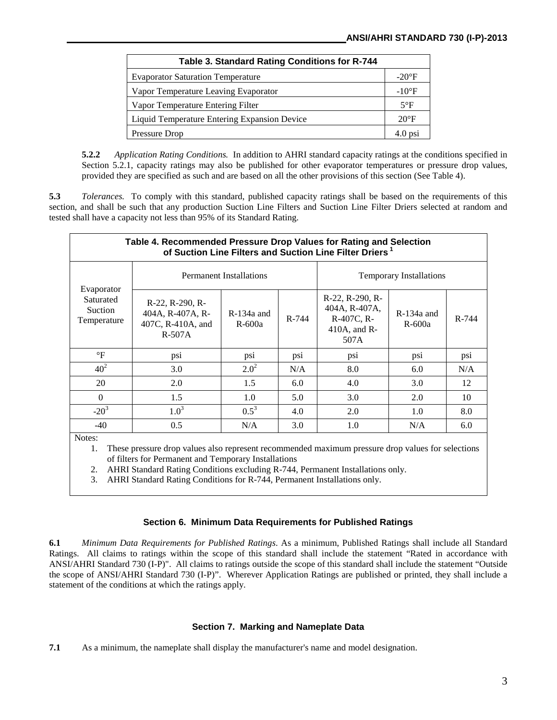| Table 3. Standard Rating Conditions for R-744 |               |
|-----------------------------------------------|---------------|
| <b>Evaporator Saturation Temperature</b>      | $-20^\circ F$ |
| Vapor Temperature Leaving Evaporator          |               |
| Vapor Temperature Entering Filter             |               |
| Liquid Temperature Entering Expansion Device  |               |
| Pressure Drop                                 | $4.0$ psi     |

**5.2.2** *Application Rating Conditions.* In addition to AHRI standard capacity ratings at the conditions specified in Section 5.2.1, capacity ratings may also be published for other evaporator temperatures or pressure drop values, provided they are specified as such and are based on all the other provisions of this section (See Table 4).

**5.3** *Tolerances.* To comply with this standard, published capacity ratings shall be based on the requirements of this section, and shall be such that any production Suction Line Filters and Suction Line Filter Driers selected at random and tested shall have a capacity not less than 95% of its Standard Rating.

| Table 4. Recommended Pressure Drop Values for Rating and Selection<br>of Suction Line Filters and Suction Line Filter Driers <sup>1</sup> |                                                                              |                          |                                |                                                                                   |                          |       |
|-------------------------------------------------------------------------------------------------------------------------------------------|------------------------------------------------------------------------------|--------------------------|--------------------------------|-----------------------------------------------------------------------------------|--------------------------|-------|
| Evaporator<br>Saturated<br><b>Suction</b><br>Temperature                                                                                  | <b>Permanent Installations</b>                                               |                          | <b>Temporary Installations</b> |                                                                                   |                          |       |
|                                                                                                                                           | $R-22$ , $R-290$ , $R-$<br>404A, R-407A, R-<br>407C, R-410A, and<br>$R-507A$ | $R-134a$ and<br>$R-600a$ | R-744                          | $R-22$ , $R-290$ , $R-$<br>404A, R-407A,<br>R-407C, R-<br>$410A$ , and R-<br>507A | $R-134a$ and<br>$R-600a$ | R-744 |
| $\rm ^{\circ}F$                                                                                                                           | psi                                                                          | psi                      | psi                            | psi                                                                               | psi                      | psi   |
| 40 <sup>2</sup>                                                                                                                           | 3.0                                                                          | $2.0^2$                  | N/A                            | 8.0                                                                               | 6.0                      | N/A   |
| 20                                                                                                                                        | 2.0                                                                          | 1.5                      | 6.0                            | 4.0                                                                               | 3.0                      | 12    |
| $\Omega$                                                                                                                                  | 1.5                                                                          | 1.0                      | 5.0                            | 3.0                                                                               | 2.0                      | 10    |
| $-20^3$                                                                                                                                   | $1.0^{3}$                                                                    | $0.5^3$                  | 4.0                            | 2.0                                                                               | 1.0                      | 8.0   |
| $-40$                                                                                                                                     | 0.5                                                                          | N/A                      | 3.0                            | 1.0                                                                               | N/A                      | 6.0   |
| $N$ otes $\cdot$                                                                                                                          |                                                                              |                          |                                |                                                                                   |                          |       |

Notes:

1. These pressure drop values also represent recommended maximum pressure drop values for selections of filters for Permanent and Temporary Installations

2. AHRI Standard Rating Conditions excluding R-744, Permanent Installations only.

3. AHRI Standard Rating Conditions for R-744, Permanent Installations only.

#### **Section 6. Minimum Data Requirements for Published Ratings**

**6.1** *Minimum Data Requirements for Published Ratings*. As a minimum, Published Ratings shall include all Standard Ratings. All claims to ratings within the scope of this standard shall include the statement "Rated in accordance with ANSI/AHRI Standard 730 (I-P)". All claims to ratings outside the scope of this standard shall include the statement "Outside the scope of ANSI/AHRI Standard 730 (I-P)". Wherever Application Ratings are published or printed, they shall include a statement of the conditions at which the ratings apply.

#### **Section 7. Marking and Nameplate Data**

**7.1** As a minimum, the nameplate shall display the manufacturer's name and model designation.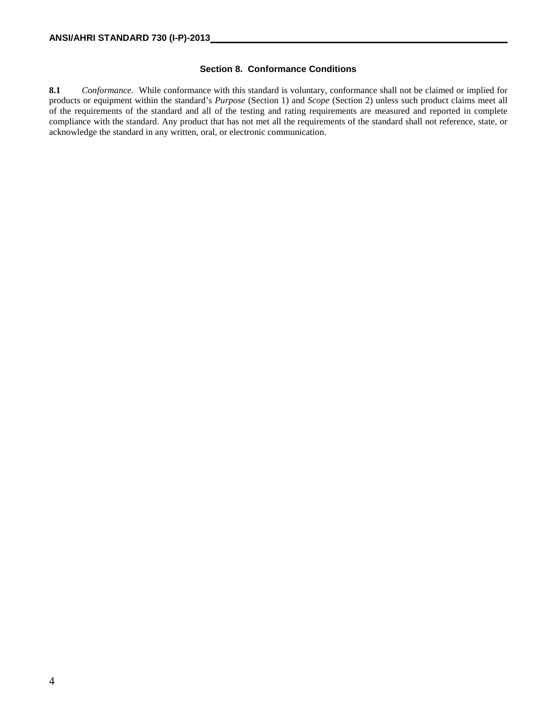#### **Section 8. Conformance Conditions**

**8.1** *Conformance.* While conformance with this standard is voluntary, conformance shall not be claimed or implied for products or equipment within the standard's *Purpose* (Section 1) and *Scope* (Section 2) unless such product claims meet all of the requirements of the standard and all of the testing and rating requirements are measured and reported in complete compliance with the standard. Any product that has not met all the requirements of the standard shall not reference, state, or acknowledge the standard in any written, oral, or electronic communication.